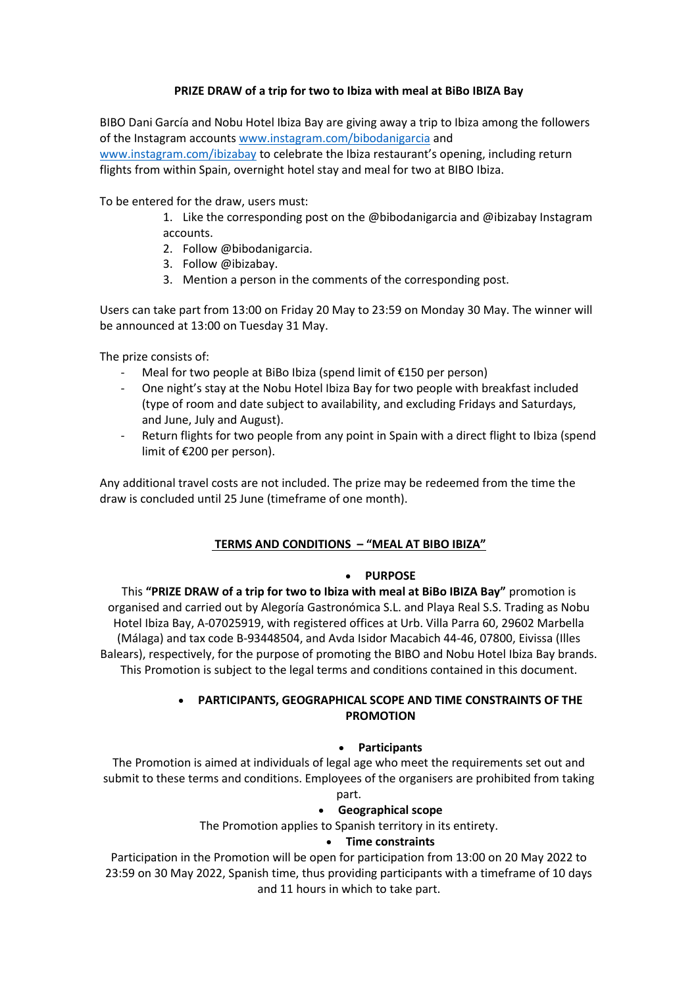### **PRIZE DRAW of a trip for two to Ibiza with meal at BiBo IBIZA Bay**

BIBO Dani García and Nobu Hotel Ibiza Bay are giving away a trip to Ibiza among the followers of the Instagram accounts [www.instagram.com/bibodanigarcia](http://www.instagram.com/bibodanigarcia) and [www.instagram.com/ibizabay](http://www.instagram.com/ibizabay) to celebrate the Ibiza restaurant's opening, including return flights from within Spain, overnight hotel stay and meal for two at BIBO Ibiza.

To be entered for the draw, users must:

- 1. Like the corresponding post on the @bibodanigarcia and @ibizabay Instagram accounts.
- 2. Follow @bibodanigarcia.
- 3. Follow @ibizabay.
- 3. Mention a person in the comments of the corresponding post.

Users can take part from 13:00 on Friday 20 May to 23:59 on Monday 30 May. The winner will be announced at 13:00 on Tuesday 31 May.

The prize consists of:

- Meal for two people at BiBo Ibiza (spend limit of  $£150$  per person)
- One night's stay at the Nobu Hotel Ibiza Bay for two people with breakfast included (type of room and date subject to availability, and excluding Fridays and Saturdays, and June, July and August).
- Return flights for two people from any point in Spain with a direct flight to Ibiza (spend limit of €200 per person).

Any additional travel costs are not included. The prize may be redeemed from the time the draw is concluded until 25 June (timeframe of one month).

## **TERMS AND CONDITIONS – "MEAL AT BIBO IBIZA"**

#### • **PURPOSE**

This **"PRIZE DRAW of a trip for two to Ibiza with meal at BiBo IBIZA Bay"** promotion is organised and carried out by Alegoría Gastronómica S.L. and Playa Real S.S. Trading as Nobu Hotel Ibiza Bay, A-07025919, with registered offices at Urb. Villa Parra 60, 29602 Marbella (Málaga) and tax code B-93448504, and Avda Isidor Macabich 44-46, 07800, Eivissa (Illes Balears), respectively, for the purpose of promoting the BIBO and Nobu Hotel Ibiza Bay brands. This Promotion is subject to the legal terms and conditions contained in this document.

## • **PARTICIPANTS, GEOGRAPHICAL SCOPE AND TIME CONSTRAINTS OF THE PROMOTION**

#### • **Participants**

The Promotion is aimed at individuals of legal age who meet the requirements set out and submit to these terms and conditions. Employees of the organisers are prohibited from taking

# part.

#### • **Geographical scope**

The Promotion applies to Spanish territory in its entirety.

#### • **Time constraints**

Participation in the Promotion will be open for participation from 13:00 on 20 May 2022 to 23:59 on 30 May 2022, Spanish time, thus providing participants with a timeframe of 10 days and 11 hours in which to take part.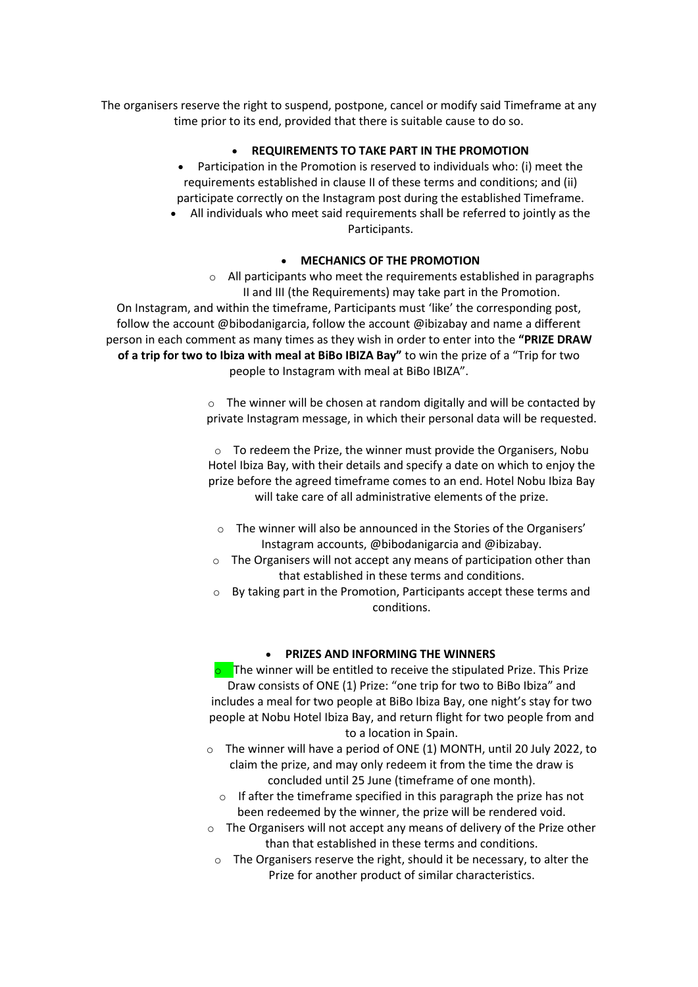The organisers reserve the right to suspend, postpone, cancel or modify said Timeframe at any time prior to its end, provided that there is suitable cause to do so.

#### • **REQUIREMENTS TO TAKE PART IN THE PROMOTION**

- Participation in the Promotion is reserved to individuals who: (i) meet the requirements established in clause II of these terms and conditions; and (ii) participate correctly on the Instagram post during the established Timeframe.
- All individuals who meet said requirements shall be referred to jointly as the Participants.

### • **MECHANICS OF THE PROMOTION**

o All participants who meet the requirements established in paragraphs II and III (the Requirements) may take part in the Promotion. On Instagram, and within the timeframe, Participants must 'like' the corresponding post, follow the account @bibodanigarcia, follow the account @ibizabay and name a different person in each comment as many times as they wish in order to enter into the **"PRIZE DRAW of a trip for two to Ibiza with meal at BiBo IBIZA Bay"** to win the prize of a "Trip for two people to Instagram with meal at BiBo IBIZA".

> o The winner will be chosen at random digitally and will be contacted by private Instagram message, in which their personal data will be requested.

> o To redeem the Prize, the winner must provide the Organisers, Nobu Hotel Ibiza Bay, with their details and specify a date on which to enjoy the prize before the agreed timeframe comes to an end. Hotel Nobu Ibiza Bay will take care of all administrative elements of the prize.

- o The winner will also be announced in the Stories of the Organisers' Instagram accounts, @bibodanigarcia and @ibizabay.
- o The Organisers will not accept any means of participation other than that established in these terms and conditions.
- $\circ$  By taking part in the Promotion, Participants accept these terms and conditions.

#### • **PRIZES AND INFORMING THE WINNERS**

 $\circ$  The winner will be entitled to receive the stipulated Prize. This Prize Draw consists of ONE (1) Prize: "one trip for two to BiBo Ibiza" and includes a meal for two people at BiBo Ibiza Bay, one night's stay for two people at Nobu Hotel Ibiza Bay, and return flight for two people from and to a location in Spain.

- o The winner will have a period of ONE (1) MONTH, until 20 July 2022, to claim the prize, and may only redeem it from the time the draw is concluded until 25 June (timeframe of one month).
	- $\circ$  If after the timeframe specified in this paragraph the prize has not been redeemed by the winner, the prize will be rendered void.
- o The Organisers will not accept any means of delivery of the Prize other than that established in these terms and conditions.
	- o The Organisers reserve the right, should it be necessary, to alter the Prize for another product of similar characteristics.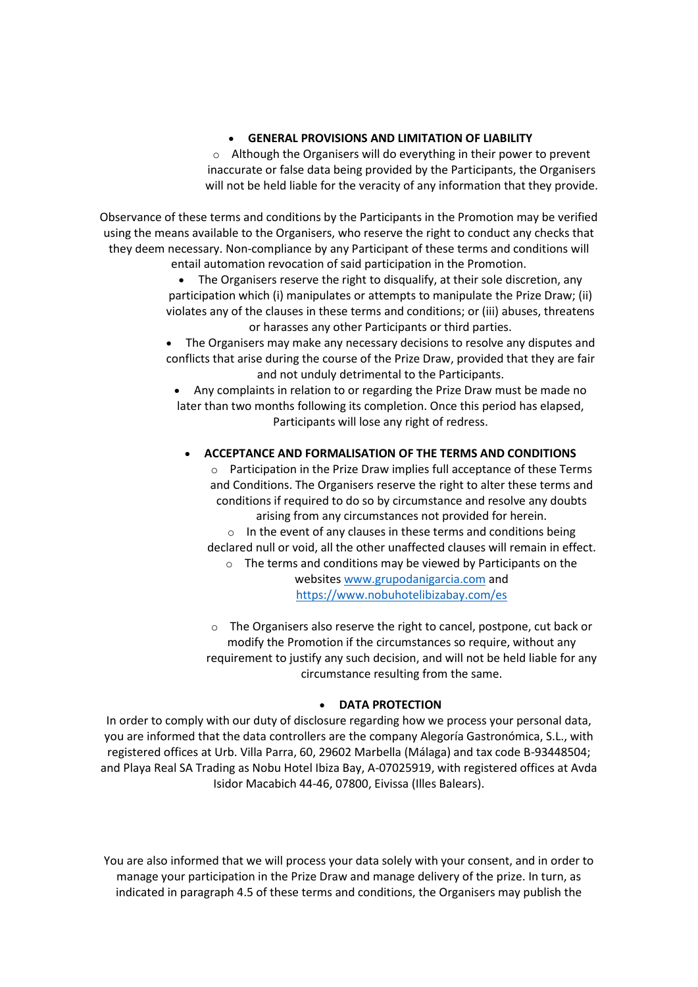#### • **GENERAL PROVISIONS AND LIMITATION OF LIABILITY**

 $\circ$  Although the Organisers will do everything in their power to prevent inaccurate or false data being provided by the Participants, the Organisers will not be held liable for the veracity of any information that they provide.

Observance of these terms and conditions by the Participants in the Promotion may be verified using the means available to the Organisers, who reserve the right to conduct any checks that they deem necessary. Non-compliance by any Participant of these terms and conditions will entail automation revocation of said participation in the Promotion.

• The Organisers reserve the right to disqualify, at their sole discretion, any participation which (i) manipulates or attempts to manipulate the Prize Draw; (ii) violates any of the clauses in these terms and conditions; or (iii) abuses, threatens or harasses any other Participants or third parties.

• The Organisers may make any necessary decisions to resolve any disputes and conflicts that arise during the course of the Prize Draw, provided that they are fair and not unduly detrimental to the Participants.

• Any complaints in relation to or regarding the Prize Draw must be made no later than two months following its completion. Once this period has elapsed, Participants will lose any right of redress.

#### • **ACCEPTANCE AND FORMALISATION OF THE TERMS AND CONDITIONS**

o Participation in the Prize Draw implies full acceptance of these Terms and Conditions. The Organisers reserve the right to alter these terms and conditions if required to do so by circumstance and resolve any doubts arising from any circumstances not provided for herein.

 $\circ$  In the event of any clauses in these terms and conditions being declared null or void, all the other unaffected clauses will remain in effect.

o The terms and conditions may be viewed by Participants on the website[s www.grupodanigarcia.com](http://www.grupodanigarcia.com/) and <https://www.nobuhotelibizabay.com/es>

o The Organisers also reserve the right to cancel, postpone, cut back or modify the Promotion if the circumstances so require, without any requirement to justify any such decision, and will not be held liable for any circumstance resulting from the same.

#### • **DATA PROTECTION**

In order to comply with our duty of disclosure regarding how we process your personal data, you are informed that the data controllers are the company Alegoría Gastronómica, S.L., with registered offices at Urb. Villa Parra, 60, 29602 Marbella (Málaga) and tax code B-93448504; and Playa Real SA Trading as Nobu Hotel Ibiza Bay, A-07025919, with registered offices at Avda Isidor Macabich 44-46, 07800, Eivissa (Illes Balears).

You are also informed that we will process your data solely with your consent, and in order to manage your participation in the Prize Draw and manage delivery of the prize. In turn, as indicated in paragraph 4.5 of these terms and conditions, the Organisers may publish the